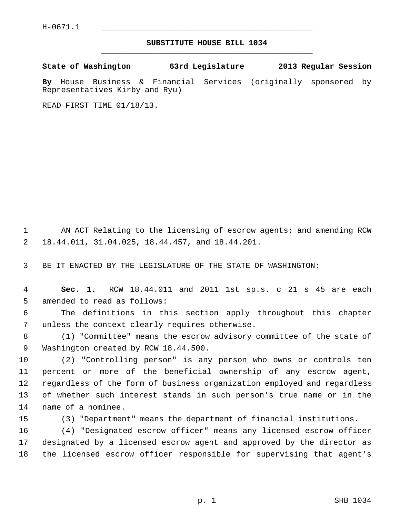## **SUBSTITUTE HOUSE BILL 1034** \_\_\_\_\_\_\_\_\_\_\_\_\_\_\_\_\_\_\_\_\_\_\_\_\_\_\_\_\_\_\_\_\_\_\_\_\_\_\_\_\_\_\_\_\_

**State of Washington 63rd Legislature 2013 Regular Session**

**By** House Business & Financial Services (originally sponsored by Representatives Kirby and Ryu)

READ FIRST TIME 01/18/13.

1 AN ACT Relating to the licensing of escrow agents; and amending RCW 2 18.44.011, 31.04.025, 18.44.457, and 18.44.201.

3 BE IT ENACTED BY THE LEGISLATURE OF THE STATE OF WASHINGTON:

 4 **Sec. 1.** RCW 18.44.011 and 2011 1st sp.s. c 21 s 45 are each 5 amended to read as follows:

 6 The definitions in this section apply throughout this chapter 7 unless the context clearly requires otherwise.

 8 (1) "Committee" means the escrow advisory committee of the state of 9 Washington created by RCW 18.44.500.

10 (2) "Controlling person" is any person who owns or controls ten 11 percent or more of the beneficial ownership of any escrow agent, 12 regardless of the form of business organization employed and regardless 13 of whether such interest stands in such person's true name or in the 14 name of a nominee.

15 (3) "Department" means the department of financial institutions.

16 (4) "Designated escrow officer" means any licensed escrow officer 17 designated by a licensed escrow agent and approved by the director as 18 the licensed escrow officer responsible for supervising that agent's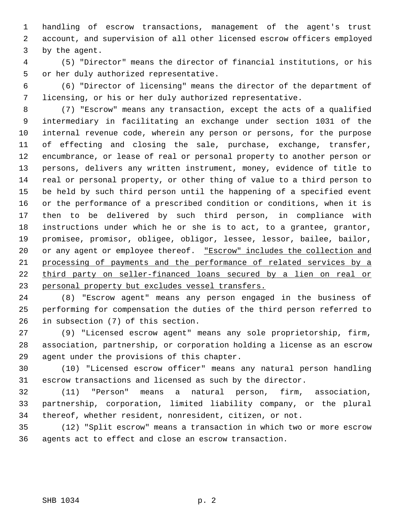1 handling of escrow transactions, management of the agent's trust 2 account, and supervision of all other licensed escrow officers employed 3 by the agent.

 4 (5) "Director" means the director of financial institutions, or his 5 or her duly authorized representative.

 6 (6) "Director of licensing" means the director of the department of 7 licensing, or his or her duly authorized representative.

 8 (7) "Escrow" means any transaction, except the acts of a qualified 9 intermediary in facilitating an exchange under section 1031 of the 10 internal revenue code, wherein any person or persons, for the purpose 11 of effecting and closing the sale, purchase, exchange, transfer, 12 encumbrance, or lease of real or personal property to another person or 13 persons, delivers any written instrument, money, evidence of title to 14 real or personal property, or other thing of value to a third person to 15 be held by such third person until the happening of a specified event 16 or the performance of a prescribed condition or conditions, when it is 17 then to be delivered by such third person, in compliance with 18 instructions under which he or she is to act, to a grantee, grantor, 19 promisee, promisor, obligee, obligor, lessee, lessor, bailee, bailor, 20 or any agent or employee thereof. "Escrow" includes the collection and 21 processing of payments and the performance of related services by a 22 third party on seller-financed loans secured by a lien on real or 23 personal property but excludes vessel transfers.

24 (8) "Escrow agent" means any person engaged in the business of 25 performing for compensation the duties of the third person referred to 26 in subsection (7) of this section.

27 (9) "Licensed escrow agent" means any sole proprietorship, firm, 28 association, partnership, or corporation holding a license as an escrow 29 agent under the provisions of this chapter.

30 (10) "Licensed escrow officer" means any natural person handling 31 escrow transactions and licensed as such by the director.

32 (11) "Person" means a natural person, firm, association, 33 partnership, corporation, limited liability company, or the plural 34 thereof, whether resident, nonresident, citizen, or not.

35 (12) "Split escrow" means a transaction in which two or more escrow 36 agents act to effect and close an escrow transaction.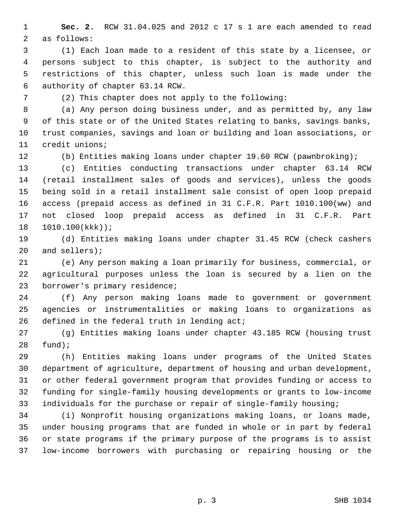1 **Sec. 2.** RCW 31.04.025 and 2012 c 17 s 1 are each amended to read 2 as follows:

 3 (1) Each loan made to a resident of this state by a licensee, or 4 persons subject to this chapter, is subject to the authority and 5 restrictions of this chapter, unless such loan is made under the 6 authority of chapter 63.14 RCW.

7 (2) This chapter does not apply to the following:

 8 (a) Any person doing business under, and as permitted by, any law 9 of this state or of the United States relating to banks, savings banks, 10 trust companies, savings and loan or building and loan associations, or 11 credit unions;

12 (b) Entities making loans under chapter 19.60 RCW (pawnbroking);

13 (c) Entities conducting transactions under chapter 63.14 RCW 14 (retail installment sales of goods and services), unless the goods 15 being sold in a retail installment sale consist of open loop prepaid 16 access (prepaid access as defined in 31 C.F.R. Part 1010.100(ww) and 17 not closed loop prepaid access as defined in 31 C.F.R. Part 18 1010.100(kkk));

19 (d) Entities making loans under chapter 31.45 RCW (check cashers 20 and sellers);

21 (e) Any person making a loan primarily for business, commercial, or 22 agricultural purposes unless the loan is secured by a lien on the 23 borrower's primary residence;

24 (f) Any person making loans made to government or government 25 agencies or instrumentalities or making loans to organizations as 26 defined in the federal truth in lending act;

27 (g) Entities making loans under chapter 43.185 RCW (housing trust 28 fund);

29 (h) Entities making loans under programs of the United States 30 department of agriculture, department of housing and urban development, 31 or other federal government program that provides funding or access to 32 funding for single-family housing developments or grants to low-income 33 individuals for the purchase or repair of single-family housing;

34 (i) Nonprofit housing organizations making loans, or loans made, 35 under housing programs that are funded in whole or in part by federal 36 or state programs if the primary purpose of the programs is to assist 37 low-income borrowers with purchasing or repairing housing or the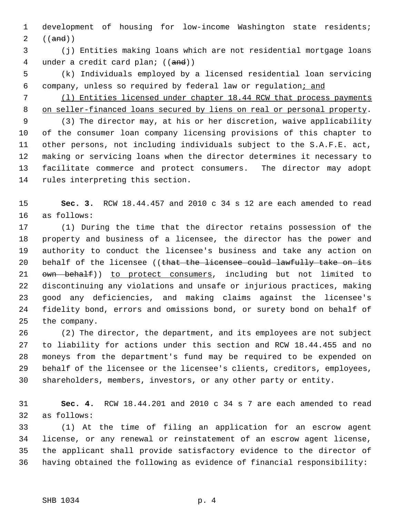1 development of housing for low-income Washington state residents; 2  $((and))$ 

 3 (j) Entities making loans which are not residential mortgage loans 4 under a credit card plan; ((and))

 5 (k) Individuals employed by a licensed residential loan servicing 6 company, unless so required by federal law or regulation; and

 7 (l) Entities licensed under chapter 18.44 RCW that process payments 8 on seller-financed loans secured by liens on real or personal property.

 9 (3) The director may, at his or her discretion, waive applicability 10 of the consumer loan company licensing provisions of this chapter to 11 other persons, not including individuals subject to the S.A.F.E. act, 12 making or servicing loans when the director determines it necessary to 13 facilitate commerce and protect consumers. The director may adopt 14 rules interpreting this section.

15 **Sec. 3.** RCW 18.44.457 and 2010 c 34 s 12 are each amended to read 16 as follows:

17 (1) During the time that the director retains possession of the 18 property and business of a licensee, the director has the power and 19 authority to conduct the licensee's business and take any action on 20 behalf of the licensee ((that the licensee could lawfully take on its 21 own behalf)) to protect consumers, including but not limited to 22 discontinuing any violations and unsafe or injurious practices, making 23 good any deficiencies, and making claims against the licensee's 24 fidelity bond, errors and omissions bond, or surety bond on behalf of 25 the company.

26 (2) The director, the department, and its employees are not subject 27 to liability for actions under this section and RCW 18.44.455 and no 28 moneys from the department's fund may be required to be expended on 29 behalf of the licensee or the licensee's clients, creditors, employees, 30 shareholders, members, investors, or any other party or entity.

31 **Sec. 4.** RCW 18.44.201 and 2010 c 34 s 7 are each amended to read 32 as follows:

33 (1) At the time of filing an application for an escrow agent 34 license, or any renewal or reinstatement of an escrow agent license, 35 the applicant shall provide satisfactory evidence to the director of 36 having obtained the following as evidence of financial responsibility: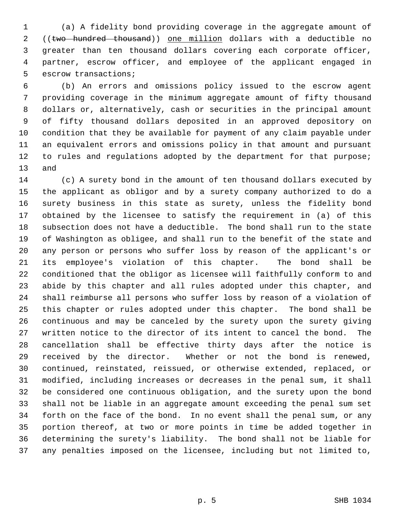1 (a) A fidelity bond providing coverage in the aggregate amount of 2 ((two hundred thousand)) one million dollars with a deductible no 3 greater than ten thousand dollars covering each corporate officer, 4 partner, escrow officer, and employee of the applicant engaged in 5 escrow transactions;

 6 (b) An errors and omissions policy issued to the escrow agent 7 providing coverage in the minimum aggregate amount of fifty thousand 8 dollars or, alternatively, cash or securities in the principal amount 9 of fifty thousand dollars deposited in an approved depository on 10 condition that they be available for payment of any claim payable under 11 an equivalent errors and omissions policy in that amount and pursuant 12 to rules and regulations adopted by the department for that purpose; 13 and

14 (c) A surety bond in the amount of ten thousand dollars executed by 15 the applicant as obligor and by a surety company authorized to do a 16 surety business in this state as surety, unless the fidelity bond 17 obtained by the licensee to satisfy the requirement in (a) of this 18 subsection does not have a deductible. The bond shall run to the state 19 of Washington as obligee, and shall run to the benefit of the state and 20 any person or persons who suffer loss by reason of the applicant's or 21 its employee's violation of this chapter. The bond shall be 22 conditioned that the obligor as licensee will faithfully conform to and 23 abide by this chapter and all rules adopted under this chapter, and 24 shall reimburse all persons who suffer loss by reason of a violation of 25 this chapter or rules adopted under this chapter. The bond shall be 26 continuous and may be canceled by the surety upon the surety giving 27 written notice to the director of its intent to cancel the bond. The 28 cancellation shall be effective thirty days after the notice is 29 received by the director. Whether or not the bond is renewed, 30 continued, reinstated, reissued, or otherwise extended, replaced, or 31 modified, including increases or decreases in the penal sum, it shall 32 be considered one continuous obligation, and the surety upon the bond 33 shall not be liable in an aggregate amount exceeding the penal sum set 34 forth on the face of the bond. In no event shall the penal sum, or any 35 portion thereof, at two or more points in time be added together in 36 determining the surety's liability. The bond shall not be liable for 37 any penalties imposed on the licensee, including but not limited to,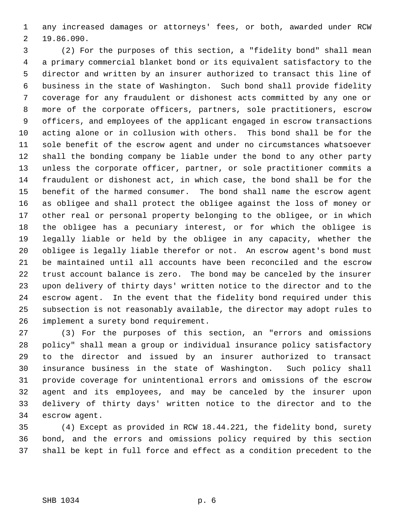1 any increased damages or attorneys' fees, or both, awarded under RCW 2 19.86.090.

 3 (2) For the purposes of this section, a "fidelity bond" shall mean 4 a primary commercial blanket bond or its equivalent satisfactory to the 5 director and written by an insurer authorized to transact this line of 6 business in the state of Washington. Such bond shall provide fidelity 7 coverage for any fraudulent or dishonest acts committed by any one or 8 more of the corporate officers, partners, sole practitioners, escrow 9 officers, and employees of the applicant engaged in escrow transactions 10 acting alone or in collusion with others. This bond shall be for the 11 sole benefit of the escrow agent and under no circumstances whatsoever 12 shall the bonding company be liable under the bond to any other party 13 unless the corporate officer, partner, or sole practitioner commits a 14 fraudulent or dishonest act, in which case, the bond shall be for the 15 benefit of the harmed consumer. The bond shall name the escrow agent 16 as obligee and shall protect the obligee against the loss of money or 17 other real or personal property belonging to the obligee, or in which 18 the obligee has a pecuniary interest, or for which the obligee is 19 legally liable or held by the obligee in any capacity, whether the 20 obligee is legally liable therefor or not. An escrow agent's bond must 21 be maintained until all accounts have been reconciled and the escrow 22 trust account balance is zero. The bond may be canceled by the insurer 23 upon delivery of thirty days' written notice to the director and to the 24 escrow agent. In the event that the fidelity bond required under this 25 subsection is not reasonably available, the director may adopt rules to 26 implement a surety bond requirement.

27 (3) For the purposes of this section, an "errors and omissions 28 policy" shall mean a group or individual insurance policy satisfactory 29 to the director and issued by an insurer authorized to transact 30 insurance business in the state of Washington. Such policy shall 31 provide coverage for unintentional errors and omissions of the escrow 32 agent and its employees, and may be canceled by the insurer upon 33 delivery of thirty days' written notice to the director and to the 34 escrow agent.

35 (4) Except as provided in RCW 18.44.221, the fidelity bond, surety 36 bond, and the errors and omissions policy required by this section 37 shall be kept in full force and effect as a condition precedent to the